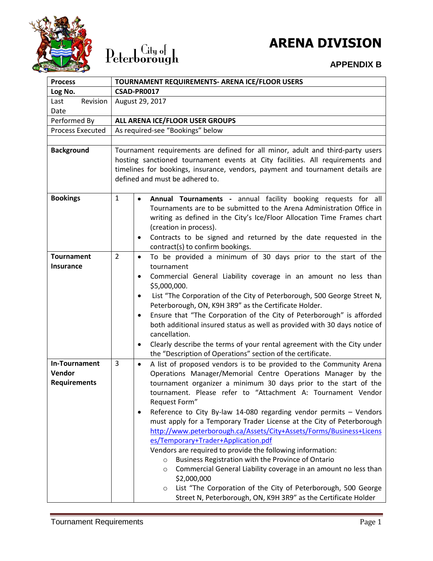

## $\operatorname{Peterborough}$

### **ARENA DIVISION**

#### **APPENDIX B**

| <b>Process</b>                                 | TOURNAMENT REQUIREMENTS- ARENA ICE/FLOOR USERS                                                                                                                                                                                                                                                                                                                                                                                                                                                                                                                                                                                                                                                                                                                                                                                                                                                                                                                 |  |  |
|------------------------------------------------|----------------------------------------------------------------------------------------------------------------------------------------------------------------------------------------------------------------------------------------------------------------------------------------------------------------------------------------------------------------------------------------------------------------------------------------------------------------------------------------------------------------------------------------------------------------------------------------------------------------------------------------------------------------------------------------------------------------------------------------------------------------------------------------------------------------------------------------------------------------------------------------------------------------------------------------------------------------|--|--|
| Log No.                                        | <b>CSAD-PR0017</b>                                                                                                                                                                                                                                                                                                                                                                                                                                                                                                                                                                                                                                                                                                                                                                                                                                                                                                                                             |  |  |
| Revision<br>Last                               | August 29, 2017                                                                                                                                                                                                                                                                                                                                                                                                                                                                                                                                                                                                                                                                                                                                                                                                                                                                                                                                                |  |  |
| Date                                           |                                                                                                                                                                                                                                                                                                                                                                                                                                                                                                                                                                                                                                                                                                                                                                                                                                                                                                                                                                |  |  |
| Performed By                                   | ALL ARENA ICE/FLOOR USER GROUPS                                                                                                                                                                                                                                                                                                                                                                                                                                                                                                                                                                                                                                                                                                                                                                                                                                                                                                                                |  |  |
| <b>Process Executed</b>                        | As required-see "Bookings" below                                                                                                                                                                                                                                                                                                                                                                                                                                                                                                                                                                                                                                                                                                                                                                                                                                                                                                                               |  |  |
|                                                |                                                                                                                                                                                                                                                                                                                                                                                                                                                                                                                                                                                                                                                                                                                                                                                                                                                                                                                                                                |  |  |
| <b>Background</b>                              | Tournament requirements are defined for all minor, adult and third-party users<br>hosting sanctioned tournament events at City facilities. All requirements and<br>timelines for bookings, insurance, vendors, payment and tournament details are<br>defined and must be adhered to.                                                                                                                                                                                                                                                                                                                                                                                                                                                                                                                                                                                                                                                                           |  |  |
| <b>Bookings</b>                                | $\mathbf{1}$<br>Annual Tournaments - annual facility booking requests for all<br>$\bullet$<br>Tournaments are to be submitted to the Arena Administration Office in<br>writing as defined in the City's Ice/Floor Allocation Time Frames chart<br>(creation in process).<br>Contracts to be signed and returned by the date requested in the<br>$\bullet$<br>contract(s) to confirm bookings.                                                                                                                                                                                                                                                                                                                                                                                                                                                                                                                                                                  |  |  |
| <b>Tournament</b><br><b>Insurance</b>          | $\overline{2}$<br>To be provided a minimum of 30 days prior to the start of the<br>$\bullet$<br>tournament<br>Commercial General Liability coverage in an amount no less than<br>$\bullet$<br>\$5,000,000.<br>List "The Corporation of the City of Peterborough, 500 George Street N,<br>$\bullet$<br>Peterborough, ON, K9H 3R9" as the Certificate Holder.<br>Ensure that "The Corporation of the City of Peterborough" is afforded<br>$\bullet$<br>both additional insured status as well as provided with 30 days notice of<br>cancellation.<br>Clearly describe the terms of your rental agreement with the City under<br>٠<br>the "Description of Operations" section of the certificate.                                                                                                                                                                                                                                                                 |  |  |
| In-Tournament<br>Vendor<br><b>Requirements</b> | 3<br>A list of proposed vendors is to be provided to the Community Arena<br>$\bullet$<br>Operations Manager/Memorial Centre Operations Manager by the<br>tournament organizer a minimum 30 days prior to the start of the<br>tournament. Please refer to "Attachment A: Tournament Vendor<br>Request Form"<br>Reference to City By-law 14-080 regarding vendor permits - Vendors<br>$\bullet$<br>must apply for a Temporary Trader License at the City of Peterborough<br>http://www.peterborough.ca/Assets/City+Assets/Forms/Business+Licens<br>es/Temporary+Trader+Application.pdf<br>Vendors are required to provide the following information:<br>Business Registration with the Province of Ontario<br>$\circ$<br>Commercial General Liability coverage in an amount no less than<br>$\circ$<br>\$2,000,000<br>List "The Corporation of the City of Peterborough, 500 George<br>$\circ$<br>Street N, Peterborough, ON, K9H 3R9" as the Certificate Holder |  |  |